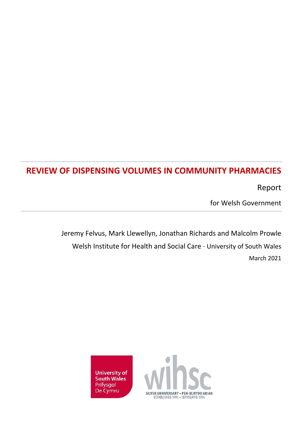# **REVIEW OF DISPENSING VOLUMES IN COMMUNITY PHARMACIES**

Report

for Welsh Government

Jeremy Felvus, Mark Llewellyn, Jonathan Richards and Malcolm Prowle Welsh Institute for Health and Social Care · University of South Wales March 2021



**University of South Wales** Prifysgol De Cymru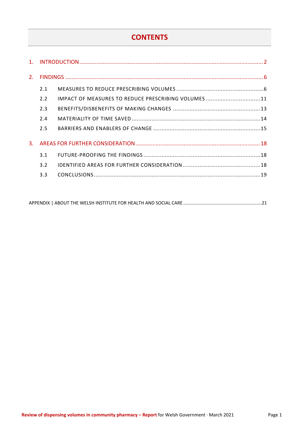# **CONTENTS**

| $\mathbf{1}$ . |     |                                                     |  |  |  |
|----------------|-----|-----------------------------------------------------|--|--|--|
| 2.             |     |                                                     |  |  |  |
|                | 2.1 |                                                     |  |  |  |
|                | 2.2 | IMPACT OF MEASURES TO REDUCE PRESCRIBING VOLUMES 11 |  |  |  |
|                | 2.3 |                                                     |  |  |  |
|                | 2.4 |                                                     |  |  |  |
|                | 2.5 |                                                     |  |  |  |
| 3.             |     |                                                     |  |  |  |
|                | 3.1 |                                                     |  |  |  |
|                | 3.2 |                                                     |  |  |  |
|                | 3.3 |                                                     |  |  |  |

[APPENDIX | ABOUT THE WELSH INSTITUTE FOR HEALTH AND SOCIAL CARE](#page-21-0) .............................................................21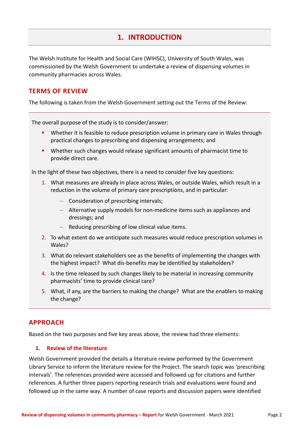# **1. INTRODUCTION**

<span id="page-2-0"></span>The Welsh Institute for Health and Social Care (WIHSC), University of South Wales, was commissioned by the Welsh Government to undertake a review of dispensing volumes in community pharmacies across Wales.

### **TERMS OF REVIEW**

The following is taken from the Welsh Government setting out the Terms of the Review:

The overall purpose of the study is to consider/answer:

- Whether it is feasible to reduce prescription volume in primary care in Wales through practical changes to prescribing and dispensing arrangements; and
- **•** Whether such changes would release significant amounts of pharmacist time to provide direct care.

In the light of these two objectives, there is a need to consider five key questions:

- 1. What measures are already in place across Wales, or outside Wales, which result in a reduction in the volume of primary care prescriptions, and in particular:
	- − Consideration of prescribing intervals;
	- − Alternative supply models for non-medicine items such as appliances and dressings; and
	- − Reducing prescribing of low clinical value items.
- 2. To what extent do we anticipate such measures would reduce prescription volumes in Wales?
- 3. What do relevant stakeholders see as the benefits of implementing the changes with the highest impact? What dis-benefits may be identified by stakeholders?
- 4. Is the time released by such changes likely to be material in increasing community pharmacists' time to provide clinical care?
- 5. What, if any, are the barriers to making the change? What are the enablers to making the change?

# **APPROACH**

Based on the two purposes and five key areas above, the review had three elements:

#### **1. Review of the literature**

Welsh Government provided the details a literature review performed by the Government Library Service to inform the literature review for the Project. The search topic was 'prescribing intervals'. The references provided were accessed and followed up for citations and further references. A further three papers reporting research trials and evaluations were found and followed up in the same way. A number of case reports and discussion papers were identified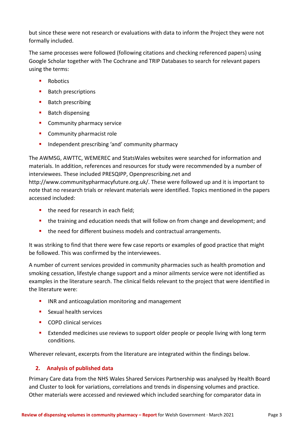but since these were not research or evaluations with data to inform the Project they were not formally included.

The same processes were followed (following citations and checking referenced papers) using Google Scholar together with The Cochrane and TRIP Databases to search for relevant papers using the terms:

- **Robotics**
- Batch prescriptions
- Batch prescribing
- Batch dispensing
- Community pharmacy service
- **•** Community pharmacist role
- Independent prescribing 'and' community pharmacy

The AWMSG, AWTTC, WEMEREC and StatsWales websites were searched for information and materials. In addition, references and resources for study were recommended by a number of interviewees. These included PRESQIPP, Openprescribing.net and

http://www.communitypharmacyfuture.org.uk/. These were followed up and it is important to note that no research trials or relevant materials were identified. Topics mentioned in the papers accessed included:

- the need for research in each field;
- the training and education needs that will follow on from change and development; and
- the need for different business models and contractual arrangements.

It was striking to find that there were few case reports or examples of good practice that might be followed. This was confirmed by the interviewees.

A number of current services provided in community pharmacies such as health promotion and smoking cessation, lifestyle change support and a minor ailments service were not identified as examples in the literature search. The clinical fields relevant to the project that were identified in the literature were:

- INR and anticoagulation monitoring and management
- Sexual health services
- COPD clinical services
- **Extended medicines use reviews to support older people or people living with long term** conditions.

Wherever relevant, excerpts from the literature are integrated within the findings below.

### **2. Analysis of published data**

Primary Care data from the NHS Wales Shared Services Partnership was analysed by Health Board and Cluster to look for variations, correlations and trends in dispensing volumes and practice. Other materials were accessed and reviewed which included searching for comparator data in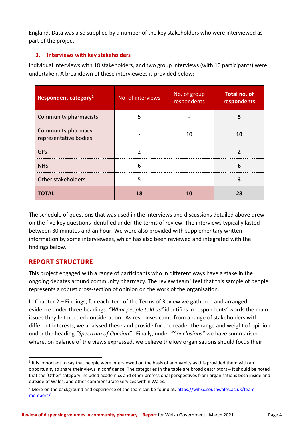England. Data was also supplied by a number of the key stakeholders who were interviewed as part of the project.

### **3. Interviews with key stakeholders**

Individual interviews with 18 stakeholders, and two group interviews (with 10 participants) were undertaken. A breakdown of these interviewees is provided below:

| Respondent category <sup>1</sup>            | No. of interviews | No. of group<br>respondents | <b>Total no. of</b><br>respondents |
|---------------------------------------------|-------------------|-----------------------------|------------------------------------|
| Community pharmacists                       | 5                 |                             | 5                                  |
| Community pharmacy<br>representative bodies |                   | 10                          | 10                                 |
| GPs                                         | $\mathfrak{p}$    |                             | 2                                  |
| <b>NHS</b>                                  | 6                 |                             | 6                                  |
| Other stakeholders                          | 5                 |                             | 3                                  |
| <b>TOTAL</b>                                | 18                | 10                          | 28                                 |

The schedule of questions that was used in the interviews and discussions detailed above drew on the five key questions identified under the terms of review. The interviews typically lasted between 30 minutes and an hour. We were also provided with supplementary written information by some interviewees, which has also been reviewed and integrated with the findings below.

# **REPORT STRUCTURE**

This project engaged with a range of participants who in different ways have a stake in the ongoing debates around community pharmacy. The review team<sup>2</sup> feel that this sample of people represents a robust cross-section of opinion on the work of the organisation.

In Chapter 2 – Findings, for each item of the Terms of Review we gathered and arranged evidence under three headings*. "What people told us"* identifies in respondents' words the main issues they felt needed consideration. As responses came from a range of stakeholders with different interests, we analysed these and provide for the reader the range and weight of opinion under the heading *"Spectrum of Opinion".* Finally, under *"Conclusions"* we have summarised where, on balance of the views expressed, we believe the key organisations should focus their

 $<sup>1</sup>$  It is important to say that people were interviewed on the basis of anonymity as this provided them with an</sup> opportunity to share their views in confidence. The categories in the table are broad descriptors – it should be noted that the 'Other' category included academics and other professional perspectives from organisations both inside and outside of Wales, and other commensurate services within Wales.

<sup>&</sup>lt;sup>2</sup> More on the background and experience of the team can be found at[: https://wihsc.southwales.ac.uk/team](https://wihsc.southwales.ac.uk/team-members/)[members/](https://wihsc.southwales.ac.uk/team-members/)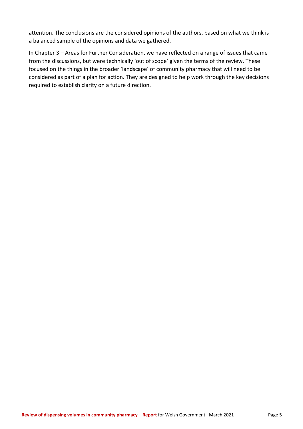attention. The conclusions are the considered opinions of the authors, based on what we think is a balanced sample of the opinions and data we gathered.

In Chapter 3 – Areas for Further Consideration, we have reflected on a range of issues that came from the discussions, but were technically 'out of scope' given the terms of the review. These focused on the things in the broader 'landscape' of community pharmacy that will need to be considered as part of a plan for action. They are designed to help work through the key decisions required to establish clarity on a future direction.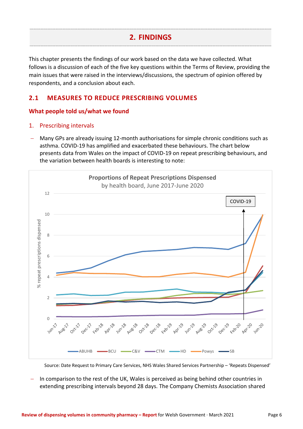# **2. FINDINGS**

<span id="page-6-0"></span>This chapter presents the findings of our work based on the data we have collected. What follows is a discussion of each of the five key questions within the Terms of Review, providing the main issues that were raised in the interviews/discussions, the spectrum of opinion offered by respondents, and a conclusion about each.

# <span id="page-6-1"></span>**2.1 MEASURES TO REDUCE PRESCRIBING VOLUMES**

### **What people told us/what we found**

- 1. Prescribing intervals
- Many GPs are already issuing 12-month authorisations for simple chronic conditions such as asthma. COVID-19 has amplified and exacerbated these behaviours. The chart below presents data from Wales on the impact of COVID-19 on repeat prescribing behaviours, and the variation between health boards is interesting to note:



Source: Date Request to Primary Care Services, NHS Wales Shared Services Partnership – 'Repeats Dispensed'

In comparison to the rest of the UK, Wales is perceived as being behind other countries in extending prescribing intervals beyond 28 days. The Company Chemists Association shared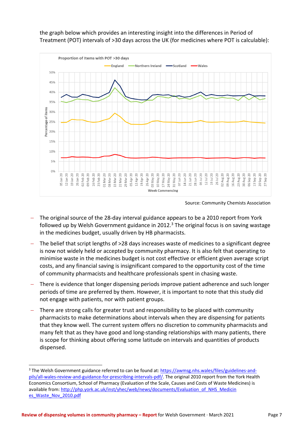the graph below which provides an interesting insight into the differences in Period of Treatment (POT) intervals of >30 days across the UK (for medicines where POT is calculable):



Source: Community Chemists Association

- The original source of the 28-day interval guidance appears to be a 2010 report from York followed up by Welsh Government guidance in 2012. $3$  The original focus is on saving wastage in the medicines budget, usually driven by HB pharmacists.
- The belief that script lengths of >28 days increases waste of medicines to a significant degree is now not widely held or accepted by community pharmacy. It is also felt that operating to minimise waste in the medicines budget is not cost effective or efficient given average script costs, and any financial saving is insignificant compared to the opportunity cost of the time of community pharmacists and healthcare professionals spent in chasing waste.
- − There is evidence that longer dispensing periods improve patient adherence and such longer periods of time are preferred by them. However, it is important to note that this study did not engage with patients, nor with patient groups.
- There are strong calls for greater trust and responsibility to be placed with community pharmacists to make determinations about intervals when they are dispensing for patients that they know well. The current system offers no discretion to community pharmacists and many felt that as they have good and long-standing relationships with many patients, there is scope for thinking about offering some latitude on intervals and quantities of products dispensed.

<sup>&</sup>lt;sup>3</sup> The Welsh Government guidance referred to can be found at: [https://awmsg.nhs.wales/files/guidelines-and](https://eur03.safelinks.protection.outlook.com/?url=https%3A%2F%2Fawmsg.nhs.wales%2Ffiles%2Fguidelines-and-pils%2Fall-wales-review-and-guidance-for-prescribing-intervals-pdf&data=04%7C01%7Cmark.llewellyn%40southwales.ac.uk%7C411f3f46389e4261977308d8a1cf8fa2%7Ce5aafe7c971b4ab7b039141ad36acec0%7C0%7C0%7C637437260148064041%7CUnknown%7CTWFpbGZsb3d8eyJWIjoiMC4wLjAwMDAiLCJQIjoiV2luMzIiLCJBTiI6Ik1haWwiLCJXVCI6Mn0%3D%7C1000&sdata=FNU%2BEv%2FS%2FV2Qu2oHYsjYda%2FXbFMk7qUeoLm9QSrjz4Y%3D&reserved=0)[pils/all-wales-review-and-guidance-for-prescribing-intervals-pdf/.](https://eur03.safelinks.protection.outlook.com/?url=https%3A%2F%2Fawmsg.nhs.wales%2Ffiles%2Fguidelines-and-pils%2Fall-wales-review-and-guidance-for-prescribing-intervals-pdf&data=04%7C01%7Cmark.llewellyn%40southwales.ac.uk%7C411f3f46389e4261977308d8a1cf8fa2%7Ce5aafe7c971b4ab7b039141ad36acec0%7C0%7C0%7C637437260148064041%7CUnknown%7CTWFpbGZsb3d8eyJWIjoiMC4wLjAwMDAiLCJQIjoiV2luMzIiLCJBTiI6Ik1haWwiLCJXVCI6Mn0%3D%7C1000&sdata=FNU%2BEv%2FS%2FV2Qu2oHYsjYda%2FXbFMk7qUeoLm9QSrjz4Y%3D&reserved=0) The original 2010 report from the York Health Economics Consortium, School of Pharmacy (Evaluation of the Scale, Causes and Costs of Waste Medicines) is available from: http://php.york.ac.uk/inst/yhec/web/news/documents/Evaluation\_of\_NHS\_Medicin [es\\_Waste\\_Nov\\_2010.pdf](https://eur03.safelinks.protection.outlook.com/?url=http%3A%2F%2Fphp.york.ac.uk%2Finst%2Fyhec%2Fweb%2Fnews%2Fdocuments%2FEvaluation_of_NHS_Medicin%2520es_Waste_Nov_2010.pdf&data=04%7C01%7Cmark.llewellyn%40southwales.ac.uk%7C3627d0141d7f4bba7b8608d8a031e4db%7Ce5aafe7c971b4ab7b039141ad36acec0%7C0%7C0%7C637435486978126712%7CUnknown%7CTWFpbGZsb3d8eyJWIjoiMC4wLjAwMDAiLCJQIjoiV2luMzIiLCJBTiI6Ik1haWwiLCJXVCI6Mn0%3D%7C1000&sdata=0qxlRbuqjkJmdzVFz0Pgfs%2BF2FCktqql2yiZHGahhKU%3D&reserved=0)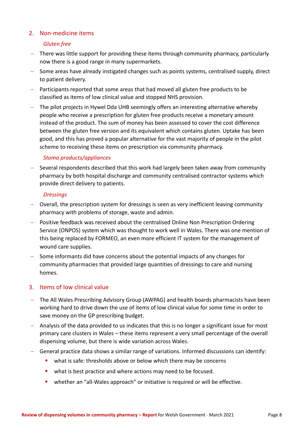### 2. Non-medicine items

### *Gluten free*

- − There was little support for providing these items through community pharmacy, particularly now there is a good range in many supermarkets.
- − Some areas have already instigated changes such as points systems, centralised supply, direct to patient delivery.
- − Participants reported that some areas that had moved all gluten free products to be classified as items of low clinical value and stopped NHS provision.
- − The pilot projects in Hywel Dda UHB seemingly offers an interesting alternative whereby people who receive a prescription for gluten free products receive a monetary amount instead of the product. The sum of money has been assessed to cover the cost difference between the gluten free version and its equivalent which contains gluten. Uptake has been good, and this has proved a popular alternative for the vast majority of people in the pilot scheme to receiving these items on prescription via community pharmacy.

### *Stoma products/appliances*

− Several respondents described that this work had largely been taken away from community pharmacy by both hospital discharge and community centralised contractor systems which provide direct delivery to patients.

#### *Dressings*

- − Overall, the prescription system for dressings is seen as very inefficient leaving community pharmacy with problems of storage, waste and admin.
- − Positive feedback was received about the centralised Online Non Prescription Ordering Service (ONPOS) system which was thought to work well in Wales. There was one mention of this being replaced by FORMEO, an even more efficient IT system for the management of wound care supplies.
- − Some informants did have concerns about the potential impacts of any changes for community pharmacies that provided large quantities of dressings to care and nursing homes.

### 3. Items of low clinical value

- − The All Wales Prescribing Advisory Group (AWPAG) and health boards pharmacists have been working hard to drive down the use of items of low clinical value for some time in order to save money on the GP prescribing budget.
- Analysis of the data provided to us indicates that this is no longer a significant issue for most primary care clusters in Wales – these items represent a very small percentage of the overall dispensing volume, but there is wide variation across Wales.
- − General practice data shows a similar range of variations. Informed discussions can identify:
	- what is safe: thresholds above or below which there may be concerns
	- **■** what is best practice and where actions may need to be focused.
	- whether an "all-Wales approach" or initiative is required or will be effective.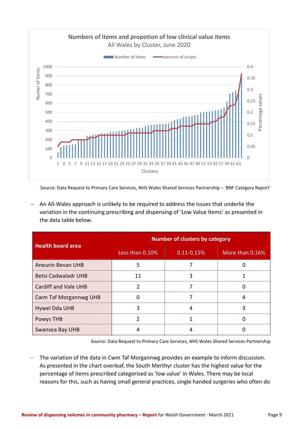

Source: Data Request to Primary Care Services, NHS Wales Shared Services Partnership – 'BNF Category Report'

− An All-Wales approach is unlikely to be required to address the issues that underlie the variation in the continuing prescribing and dispensing of 'Low Value Items' as presented in the data table below.

|                              | <b>Number of clusters by category</b> |                |                 |  |
|------------------------------|---------------------------------------|----------------|-----------------|--|
| <b>Health board area</b>     | Less than 0.10%                       | $0.11 - 0.15%$ | More than 0.16% |  |
| <b>Aneurin Bevan UHB</b>     | 5                                     |                | O               |  |
| <b>Betsi Cadwaladr UHB</b>   | 11                                    | 3              |                 |  |
| <b>Cardiff and Vale UHB</b>  | າ                                     |                | O               |  |
| <b>Cwm Taf Morgannwg UHB</b> |                                       |                | 4               |  |
| Hywel Dda UHB                | 3                                     |                | 3               |  |
| Powys THB                    |                                       |                |                 |  |
| Swansea Bay UHB              |                                       |                |                 |  |

Source: Data Request to Primary Care Services, NHS Wales Shared Services Partnership

− The variation of the data in Cwm Taf Morgannwg provides an example to inform discussion. As presented in the chart overleaf, the South Merthyr cluster has the highest value for the percentage of items prescribed categorised as 'low value' in Wales. There may be local reasons for this, such as having small general practices, single handed surgeries who often do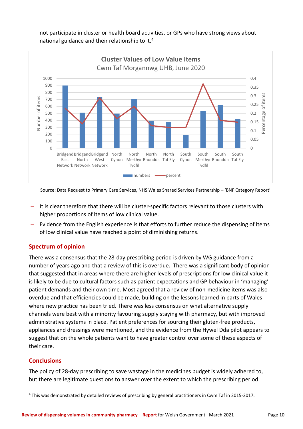not participate in cluster or health board activities, or GPs who have strong views about national guidance and their relationship to it.<sup>4</sup>



Source: Data Request to Primary Care Services, NHS Wales Shared Services Partnership – 'BNF Category Report'

- It is clear therefore that there will be cluster-specific factors relevant to those clusters with higher proportions of items of low clinical value.
- Evidence from the English experience is that efforts to further reduce the dispensing of items of low clinical value have reached a point of diminishing returns.

#### **Spectrum of opinion**

There was a consensus that the 28-day prescribing period is driven by WG guidance from a number of years ago and that a review of this is overdue. There was a significant body of opinion that suggested that in areas where there are higher levels of prescriptions for low clinical value it is likely to be due to cultural factors such as patient expectations and GP behaviour in 'managing' patient demands and their own time. Most agreed that a review of non-medicine items was also overdue and that efficiencies could be made, building on the lessons learned in parts of Wales where new practice has been tried. There was less consensus on what alternative supply channels were best with a minority favouring supply staying with pharmacy, but with improved administrative systems in place. Patient preferences for sourcing their gluten-free products, appliances and dressings were mentioned, and the evidence from the Hywel Dda pilot appears to suggest that on the whole patients want to have greater control over some of these aspects of their care.

#### **Conclusions**

The policy of 28-day prescribing to save wastage in the medicines budget is widely adhered to, but there are legitimate questions to answer over the extent to which the prescribing period

<sup>4</sup> This was demonstrated by detailed reviews of prescribing by general practitioners in Cwm Taf in 2015-2017.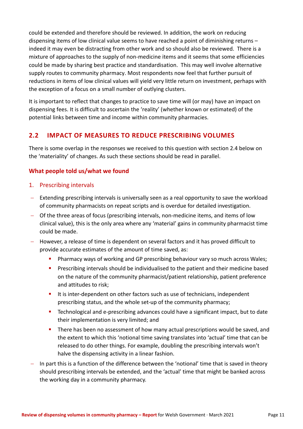could be extended and therefore should be reviewed. In addition, the work on reducing dispensing items of low clinical value seems to have reached a point of diminishing returns – indeed it may even be distracting from other work and so should also be reviewed. There is a mixture of approaches to the supply of non-medicine items and it seems that some efficiencies could be made by sharing best practice and standardisation. This may well involve alternative supply routes to community pharmacy. Most respondents now feel that further pursuit of reductions in items of low clinical values will yield very little return on investment, perhaps with the exception of a focus on a small number of outlying clusters.

It is important to reflect that changes to practice to save time will (or may) have an impact on dispensing fees. It is difficult to ascertain the 'reality' (whether known or estimated) of the potential links between time and income within community pharmacies.

# <span id="page-11-0"></span>**2.2 IMPACT OF MEASURES TO REDUCE PRESCRIBING VOLUMES**

There is some overlap in the responses we received to this question with section 2.4 below on the 'materiality' of changes. As such these sections should be read in parallel.

# **What people told us/what we found**

- 1. Prescribing intervals
- − Extending prescribing intervals is universally seen as a real opportunity to save the workload of community pharmacists on repeat scripts and is overdue for detailed investigation.
- − Of the three areas of focus (prescribing intervals, non-medicine items, and items of low clinical value), this is the only area where any 'material' gains in community pharmacist time could be made.
- − However, a release of time is dependent on several factors and it has proved difficult to provide accurate estimates of the amount of time saved, as:
	- Pharmacy ways of working and GP prescribing behaviour vary so much across Wales;
	- **•** Prescribing intervals should be individualised to the patient and their medicine based on the nature of the community pharmacist/patient relationship, patient preference and attitudes to risk;
	- It is inter-dependent on other factors such as use of technicians, independent prescribing status, and the whole set-up of the community pharmacy;
	- Technological and e-prescribing advances could have a significant impact, but to date their implementation is very limited; and
	- **•** There has been no assessment of how many actual prescriptions would be saved, and the extent to which this 'notional time saving translates into 'actual' time that can be released to do other things. For example, doubling the prescribing intervals won't halve the dispensing activity in a linear fashion.
- − In part this is a function of the difference between the 'notional' time that is saved in theory should prescribing intervals be extended, and the 'actual' time that might be banked across the working day in a community pharmacy.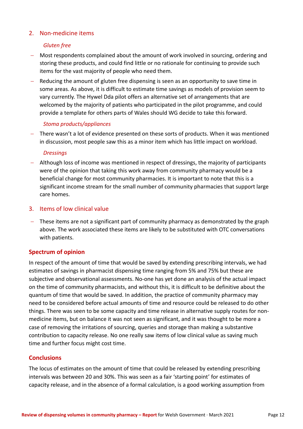#### 2. Non-medicine items

#### *Gluten free*

- − Most respondents complained about the amount of work involved in sourcing, ordering and storing these products, and could find little or no rationale for continuing to provide such items for the vast majority of people who need them.
- − Reducing the amount of gluten free dispensing is seen as an opportunity to save time in some areas. As above, it is difficult to estimate time savings as models of provision seem to vary currently. The Hywel Dda pilot offers an alternative set of arrangements that are welcomed by the majority of patients who participated in the pilot programme, and could provide a template for others parts of Wales should WG decide to take this forward.

#### *Stoma products/appliances*

− There wasn't a lot of evidence presented on these sorts of products. When it was mentioned in discussion, most people saw this as a minor item which has little impact on workload.

#### *Dressings*

− Although loss of income was mentioned in respect of dressings, the majority of participants were of the opinion that taking this work away from community pharmacy would be a beneficial change for most community pharmacies. It is important to note that this is a significant income stream for the small number of community pharmacies that support large care homes.

#### 3. Items of low clinical value

− These items are not a significant part of community pharmacy as demonstrated by the graph above. The work associated these items are likely to be substituted with OTC conversations with patients.

### **Spectrum of opinion**

In respect of the amount of time that would be saved by extending prescribing intervals, we had estimates of savings in pharmacist dispensing time ranging from 5% and 75% but these are subjective and observational assessments. No-one has yet done an analysis of the actual impact on the time of community pharmacists, and without this, it is difficult to be definitive about the quantum of time that would be saved. In addition, the practice of community pharmacy may need to be considered before actual amounts of time and resource could be released to do other things. There was seen to be some capacity and time release in alternative supply routes for nonmedicine items, but on balance it was not seen as significant, and it was thought to be more a case of removing the irritations of sourcing, queries and storage than making a substantive contribution to capacity release. No one really saw items of low clinical value as saving much time and further focus might cost time.

#### **Conclusions**

The locus of estimates on the amount of time that could be released by extending prescribing intervals was between 20 and 30%. This was seen as a fair 'starting point' for estimates of capacity release, and in the absence of a formal calculation, is a good working assumption from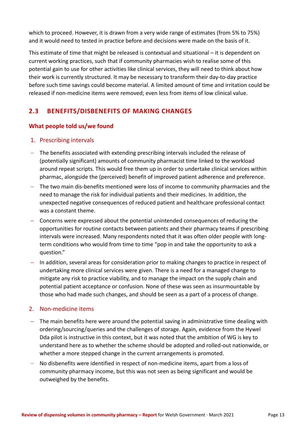which to proceed. However, it is drawn from a very wide range of estimates (from 5% to 75%) and it would need to tested in practice before and decisions were made on the basis of it.

This estimate of time that might be released is contextual and situational – it is dependent on current working practices, such that if community pharmacies wish to realise some of this potential gain to use for other activities like clinical services, they will need to think about how their work is currently structured. It may be necessary to transform their day-to-day practice before such time savings could become material. A limited amount of time and irritation could be released if non-medicine items were removed; even less from items of low clinical value.

# <span id="page-13-0"></span>**2.3 BENEFITS/DISBENEFITS OF MAKING CHANGES**

### **What people told us/we found**

### 1. Prescribing intervals

- − The benefits associated with extending prescribing intervals included the release of (potentially significant) amounts of community pharmacist time linked to the workload around repeat scripts. This would free them up in order to undertake clinical services within pharmac, alongside the (perceived) benefit of improved patient adherence and preference.
- − The two main dis-benefits mentioned were loss of income to community pharmacies and the need to manage the risk for individual patients and their medicines. In addition, the unexpected negative consequences of reduced patient and healthcare professional contact was a constant theme.
- − Concerns were expressed about the potential unintended consequences of reducing the opportunities for routine contacts between patients and their pharmacy teams if prescribing intervals were increased. Many respondents noted that it was often older people with longterm conditions who would from time to time "pop in and take the opportunity to ask a question."
- In addition, several areas for consideration prior to making changes to practice in respect of undertaking more clinical services were given. There is a need for a managed change to mitigate any risk to practice viability, and to manage the impact on the supply chain and potential patient acceptance or confusion. None of these was seen as insurmountable by those who had made such changes, and should be seen as a part of a process of change.

### 2. Non-medicine items

- The main benefits here were around the potential saving in administrative time dealing with ordering/sourcing/queries and the challenges of storage. Again, evidence from the Hywel Dda pilot is instructive in this context, but it was noted that the ambition of WG is key to understand here as to whether the scheme should be adopted and rolled-out nationwide, or whether a more stepped change in the current arrangements is promoted.
- − No disbenefits were identified in respect of non-medicine items, apart from a loss of community pharmacy income, but this was not seen as being significant and would be outweighed by the benefits.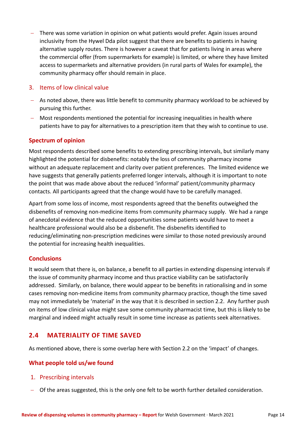There was some variation in opinion on what patients would prefer. Again issues around inclusivity from the Hywel Dda pilot suggest that there are benefits to patients in having alternative supply routes. There is however a caveat that for patients living in areas where the commercial offer (from supermarkets for example) is limited, or where they have limited access to supermarkets and alternative providers (in rural parts of Wales for example), the community pharmacy offer should remain in place.

### 3. Items of low clinical value

- As noted above, there was little benefit to community pharmacy workload to be achieved by pursuing this further.
- − Most respondents mentioned the potential for increasing inequalities in health where patients have to pay for alternatives to a prescription item that they wish to continue to use.

# **Spectrum of opinion**

Most respondents described some benefits to extending prescribing intervals, but similarly many highlighted the potential for disbenefits: notably the loss of community pharmacy income without an adequate replacement and clarity over patient preferences. The limited evidence we have suggests that generally patients preferred longer intervals, although it is important to note the point that was made above about the reduced 'informal' patient/community pharmacy contacts. All participants agreed that the change would have to be carefully managed.

Apart from some loss of income, most respondents agreed that the benefits outweighed the disbenefits of removing non-medicine items from community pharmacy supply. We had a range of anecdotal evidence that the reduced opportunities some patients would have to meet a healthcare professional would also be a disbenefit. The disbenefits identified to reducing/eliminating non-prescription medicines were similar to those noted previously around the potential for increasing health inequalities.

# **Conclusions**

It would seem that there is, on balance, a benefit to all parties in extending dispensing intervals if the issue of community pharmacy income and thus practice viability can be satisfactorily addressed. Similarly, on balance, there would appear to be benefits in rationalising and in some cases removing non-medicine items from community pharmacy practice, though the time saved may not immediately be 'material' in the way that it is described in section 2.2. Any further push on items of low clinical value might save some community pharmacist time, but this is likely to be marginal and indeed might actually result in some time increase as patients seek alternatives.

# <span id="page-14-0"></span>**2.4 MATERIALITY OF TIME SAVED**

As mentioned above, there is some overlap here with Section 2.2 on the 'impact' of changes.

# **What people told us/we found**

- 1. Prescribing intervals
- − Of the areas suggested, this is the only one felt to be worth further detailed consideration.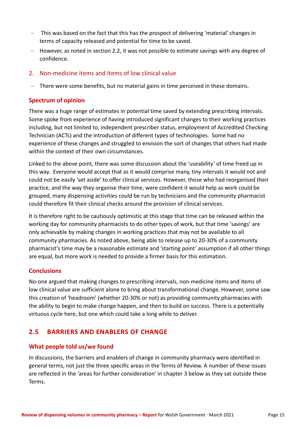- This was based on the fact that this has the prospect of delivering 'material' changes in terms of capacity released and potential for time to be saved.
- However, as noted in section 2.2, it was not possible to estimate savings with any degree of confidence.
- 2. Non-medicine items and Items of low clinical value
- − There were some benefits, but no material gains in time perceived in these domains.

### **Spectrum of opinion**

There was a huge range of estimates in potential time saved by extending prescribing intervals. Some spoke from experience of having introduced significant changes to their working practices including, but not limited to, independent prescriber status, employment of Accredited Checking Technician (ACTs) and the introduction of different types of technologies. Some had no experience of these changes and struggled to envision the sort of changes that others had made within the context of their own circumstances.

Linked to the above point, there was some discussion about the 'useability' of time freed up in this way. Everyone would accept that as it would comprise many, tiny intervals it would not and could not be easily 'set aside' to offer clinical services. However, those who had reorganised their practice, and the way they organise their time, were confident it would help as work could be grouped, many dispensing activities could be run by technicians and the community pharmacist could therefore fit their clinical checks around the provision of clinical services.

It is therefore right to be cautiously optimistic at this stage that time can be released within the working day for community pharmacists to do other types of work, but that time 'savings' are only achievable by making changes in working practices that may not be available to all community pharmacies. As noted above, being able to release up to 20-30% of a community pharmacist's time may be a reasonable estimate and 'starting point' assumption if all other things are equal, but more work is needed to provide a firmer basis for this estimation.

### **Conclusions**

No-one argued that making changes to prescribing intervals, non-medicine items and items of low clinical value are sufficient alone to bring about transformational change. However, some saw this creation of 'headroom' (whether 20-30% or not) as providing community pharmacies with the ability to begin to make change happen, and then to build on success. There is a potentially virtuous cycle here, but one which could take a long while to deliver.

# <span id="page-15-0"></span>**2.5 BARRIERS AND ENABLERS OF CHANGE**

### **What people told us/we found**

In discussions, the barriers and enablers of change in community pharmacy were identified in general terms, not just the three specific areas in the Terms of Review. A number of these issues are reflected in the 'areas for further consideration' in chapter 3 below as they sat outside these Terms.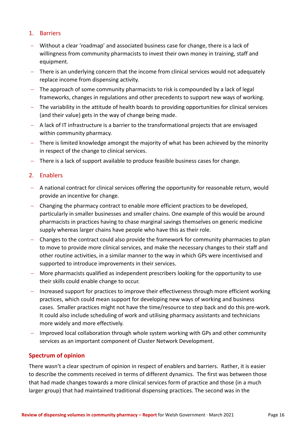### 1. Barriers

- − Without a clear 'roadmap' and associated business case for change, there is a lack of willingness from community pharmacists to invest their own money in training, staff and equipment.
- − There is an underlying concern that the income from clinical services would not adequately replace income from dispensing activity.
- − The approach of some community pharmacists to risk is compounded by a lack of legal frameworks, changes in regulations and other precedents to support new ways of working.
- − The variability in the attitude of health boards to providing opportunities for clinical services (and their value) gets in the way of change being made.
- − A lack of IT infrastructure is a barrier to the transformational projects that are envisaged within community pharmacy.
- − There is limited knowledge amongst the majority of what has been achieved by the minority in respect of the change to clinical services.
- − There is a lack of support available to produce feasible business cases for change.

### 2. Enablers

- − A national contract for clinical services offering the opportunity for reasonable return, would provide an incentive for change.
- − Changing the pharmacy contract to enable more efficient practices to be developed, particularly in smaller businesses and smaller chains. One example of this would be around pharmacists in practices having to chase marginal savings themselves on generic medicine supply whereas larger chains have people who have this as their role.
- − Changes to the contract could also provide the framework for community pharmacies to plan to move to provide more clinical services, and make the necessary changes to their staff and other routine activities, in a similar manner to the way in which GPs were incentivised and supported to introduce improvements in their services.
- − More pharmacists qualified as independent prescribers looking for the opportunity to use their skills could enable change to occur.
- − Increased support for practices to improve their effectiveness through more efficient working practices, which could mean support for developing new ways of working and business cases. Smaller practices might not have the time/resource to step back and do this pre-work. It could also include scheduling of work and utilising pharmacy assistants and technicians more widely and more effectively.
- Improved local collaboration through whole system working with GPs and other community services as an important component of Cluster Network Development.

### **Spectrum of opinion**

There wasn't a clear spectrum of opinion in respect of enablers and barriers. Rather, it is easier to describe the comments received in terms of different dynamics. The first was between those that had made changes towards a more clinical services form of practice and those (in a much larger group) that had maintained traditional dispensing practices. The second was in the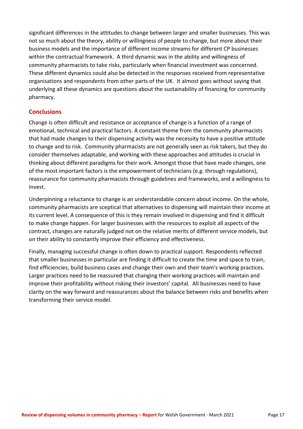significant differences in the attitudes to change between larger and smaller businesses. This was not so much about the theory, ability or willingness of people to change, but more about their business models and the importance of different income streams for different CP businesses within the contractual framework. A third dynamic was in the ability and willingness of community pharmacists to take risks, particularly when financial investment was concerned. These different dynamics could also be detected in the responses received from representative organisations and respondents from other parts of the UK. It almost goes without saying that underlying all these dynamics are questions about the sustainability of financing for community pharmacy.

# **Conclusions**

Change is often difficult and resistance or acceptance of change is a function of a range of emotional, technical and practical factors. A constant theme from the community pharmacists that had made changes to their dispensing activity was the necessity to have a positive attitude to change and to risk. Community pharmacists are not generally seen as risk takers, but they do consider themselves adaptable, and working with these approaches and attitudes is crucial in thinking about different paradigms for their work. Amongst those that have made changes, one of the most important factors is the empowerment of technicians (e.g. through regulations), reassurance for community pharmacists through guidelines and frameworks, and a willingness to invest.

Underpinning a reluctance to change is an understandable concern about income. On the whole, community pharmacists are sceptical that alternatives to dispensing will maintain their income at its current level. A consequence of this is they remain involved in dispensing and find it difficult to make change happen. For larger businesses with the resources to exploit all aspects of the contract, changes are naturally judged not on the relative merits of different service models, but on their ability to constantly improve their efficiency and effectiveness.

Finally, managing successful change is often down to practical support. Respondents reflected that smaller businesses in particular are finding it difficult to create the time and space to train, find efficiencies, build business cases and change their own and their team's working practices. Larger practices need to be reassured that changing their working practices will maintain and improve their profitability without risking their investors' capital. All businesses need to have clarity on the way forward and reassurances about the balance between risks and benefits when transforming their service model.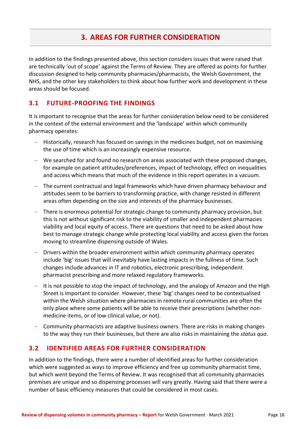# **3. AREAS FOR FURTHER CONSIDERATION**

<span id="page-18-0"></span>In addition to the findings presented above, this section considers issues that were raised that are technically 'out of scope' against the Terms of Review. They are offered as points for further discussion designed to help community pharmacies/pharmacists, the Welsh Government, the NHS, and the other key stakeholders to think about how further work and development in these areas should be focused.

# <span id="page-18-1"></span>**3.1 FUTURE-PROOFING THE FINDINGS**

It is important to recognise that the areas for further consideration below need to be considered in the context of the external environment and the 'landscape' within which community pharmacy operates:

- − Historically, research has focused on savings in the medicines budget, not on maximising the use of time which is an increasingly expensive resource.
- − We searched for and found no research on areas associated with these proposed changes, for example on patient attitudes/preferences, impact of technology, effect on inequalities and access which means that much of the evidence in this report operates in a vacuum.
- − The current contractual and legal frameworks which have driven pharmacy behaviour and attitudes seem to be barriers to transforming practice, with change resisted in different areas often depending on the size and interests of the pharmacy businesses.
- There is enormous potential for strategic change to community pharmacy provision, but this is not without significant risk to the viability of smaller and independent pharmacies viability and local equity of access. There are questions that need to be asked about how best to manage strategic change while protecting local viability and access given the forces moving to streamline dispensing outside of Wales.
- Drivers within the broader environment within which community pharmacy operates include 'big' issues that will inevitably have lasting impacts in the fullness of time. Such changes include advances in IT and robotics, electronic prescribing, independent pharmacist prescribing and more relaxed regulatory frameworks.
- It is not possible to stop the impact of technology, and the analogy of Amazon and the High Street is important to consider. However, these 'big' changes need to be contextualised within the Welsh situation where pharmacies in remote rural communities are often the only place where some patients will be able to receive their prescriptions (whether nonmedicine items, or of low clinical value, or not).
- − Community pharmacists are adaptive business owners. There are risks in making changes to the way they run their businesses, but there are also risks in maintaining the *status quo*.

# <span id="page-18-2"></span>**3.2 IDENTIFIED AREAS FOR FURTHER CONSIDERATION**

In addition to the findings, there were a number of identified areas for further consideration which were suggested as ways to improve efficiency and free up community pharmacist time, but which went beyond the Terms of Review. It was recognised that all community pharmacies premises are unique and so dispensing processes will vary greatly. Having said that there were a number of basic efficiency measures that could be considered in most cases.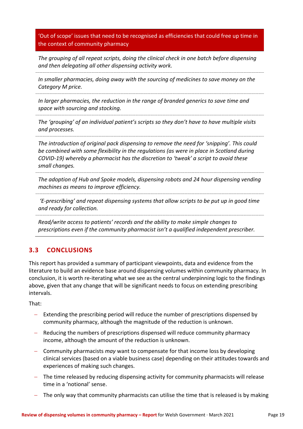### 'Out of scope' issues that need to be recognised as efficiencies that could free up time in the context of community pharmacy

*The grouping of all repeat scripts, doing the clinical check in one batch before dispensing and then delegating all other dispensing activity work.*

*In smaller pharmacies, doing away with the sourcing of medicines to save money on the Category M price.* 

*In larger pharmacies, the reduction in the range of branded generics to save time and space with sourcing and stocking.* 

*The 'grouping' of an individual patient's scripts so they don't have to have multiple visits and processes.*

*The introduction of original pack dispensing to remove the need for 'snipping'. This could be combined with some flexibility in the regulations (as were in place in Scotland during COVID-19) whereby a pharmacist has the discretion to 'tweak' a script to avoid these small changes.*

*The adoption of Hub and Spoke models, dispensing robots and 24 hour dispensing vending machines as means to improve efficiency.*

*'E-prescribing' and repeat dispensing systems that allow scripts to be put up in good time and ready for collection.*

*Read/write access to patients' records and the ability to make simple changes to* 

*prescriptions even if the community pharmacist isn't a qualified independent prescriber.*

# <span id="page-19-0"></span>**3.3 CONCLUSIONS**

This report has provided a summary of participant viewpoints, data and evidence from the literature to build an evidence base around dispensing volumes within community pharmacy. In conclusion, it is worth re-iterating what we see as the central underpinning logic to the findings above, given that any change that will be significant needs to focus on extending prescribing intervals.

That:

- − Extending the prescribing period will reduce the number of prescriptions dispensed by community pharmacy, although the magnitude of the reduction is unknown.
- − Reducing the numbers of prescriptions dispensed will reduce community pharmacy income, although the amount of the reduction is unknown.
- − Community pharmacists *may* want to compensate for that income loss by developing clinical services (based on a viable business case) depending on their attitudes towards and experiences of making such changes.
- − The time released by reducing dispensing activity for community pharmacists will release time in a 'notional' sense.
- − The only way that community pharmacists can utilise the time that is released is by making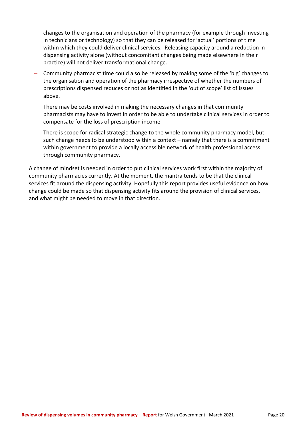changes to the organisation and operation of the pharmacy (for example through investing in technicians or technology) so that they can be released for 'actual' portions of time within which they could deliver clinical services. Releasing capacity around a reduction in dispensing activity alone (without concomitant changes being made elsewhere in their practice) will not deliver transformational change.

- − Community pharmacist time could also be released by making some of the 'big' changes to the organisation and operation of the pharmacy irrespective of whether the numbers of prescriptions dispensed reduces or not as identified in the 'out of scope' list of issues above.
- − There may be costs involved in making the necessary changes in that community pharmacists may have to invest in order to be able to undertake clinical services in order to compensate for the loss of prescription income.
- − There is scope for radical strategic change to the whole community pharmacy model, but such change needs to be understood within a context – namely that there is a commitment within government to provide a locally accessible network of health professional access through community pharmacy.

A change of mindset is needed in order to put clinical services work first within the majority of community pharmacies currently. At the moment, the mantra tends to be that the clinical services fit around the dispensing activity. Hopefully this report provides useful evidence on how change could be made so that dispensing activity fits around the provision of clinical services, and what might be needed to move in that direction.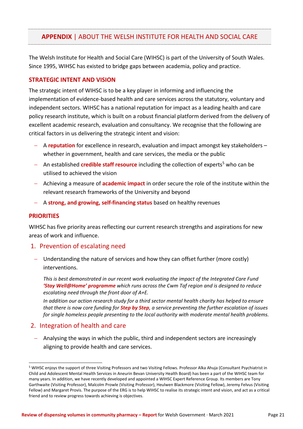# <span id="page-21-0"></span>**APPENDIX** | ABOUT THE WELSH INSTITUTE FOR HEALTH AND SOCIAL CARE

The Welsh Institute for Health and Social Care (WIHSC) is part of the University of South Wales. Since 1995, WIHSC has existed to bridge gaps between academia, policy and practice.

#### **STRATEGIC INTENT AND VISION**

The strategic intent of WIHSC is to be a key player in informing and influencing the implementation of evidence-based health and care services across the statutory, voluntary and independent sectors. WIHSC has a national reputation for impact as a leading health and care policy research institute, which is built on a robust financial platform derived from the delivery of excellent academic research, evaluation and consultancy. We recognise that the following are critical factors in us delivering the strategic intent and vision:

- − A **reputation** for excellence in research, evaluation and impact amongst key stakeholders whether in government, health and care services, the media or the public
- − An established **credible staff resource** including the collection of experts<sup>5</sup> who can be utilised to achieved the vision
- − Achieving a measure of **academic impact** in order secure the role of the institute within the relevant research frameworks of the University and beyond
- − A **strong, and growing, self-financing status** based on healthy revenues

### **PRIORITIES**

WIHSC has five priority areas reflecting our current research strengths and aspirations for new areas of work and influence.

### 1. Prevention of escalating need

− Understanding the nature of services and how they can offset further (more costly) interventions.

*This is best demonstrated in our recent work evaluating the impact of the Integrated Care Fund 'Stay Well@Home' programme which runs across the Cwm Taf region and is designed to reduce escalating need through the front door of A+E.* 

*In addition our action research study for a third sector mental health charity has helped to ensure that there is now core funding for Step by Step, a service preventing the further escalation of issues for single homeless people presenting to the local authority with moderate mental health problems.* 

### 2. Integration of health and care

− Analysing the ways in which the public, third and independent sectors are increasingly aligning to provide health and care services.

<sup>5</sup> WIHSC enjoys the support of three Visiting Professors and two Visiting Fellows. Professor Alka Ahuja (Consultant Psychiatrist in Child and Adolescent Mental Health Services in Aneurin Bevan University Health Board) has been a part of the WIHSC team for many years. In addition, we have recently developed and appointed a WIHSC Expert Reference Group. Its members are Tony Garthwaite (Visiting Professor), Malcolm Prowle (Visiting Professor), Heulwen Blackmore (Visiting Fellow), Jeremy Felvus (Visiting Fellow) and Margaret Provis. The purpose of the ERG is to help WIHSC to realise its strategic intent and vision, and act as a critical friend and to review progress towards achieving is objectives.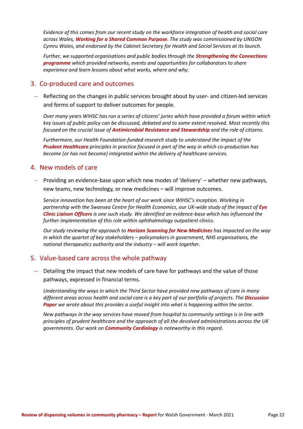*Evidence of this comes from our recent study on the workforce integration of health and social care across Wales, Working for a Shared Common Purpose. The study was commissioned by UNISON Cymru Wales, and endorsed by the Cabinet Secretary for Health and Social Services at its launch.* 

*Further, we supported organisations and public bodies through the Strengthening the Connections programme which provided networks, events and opportunities for collaborators to share experience and learn lessons about what works, where and why.*

### 3. Co-produced care and outcomes

− Reflecting on the changes in public services brought about by user- and citizen-led services and forms of support to deliver outcomes for people.

*Over many years WIHSC has run a series of citizens' juries which have provided a forum within which key issues of public policy can be discussed, debated and to some extent resolved. Most recently this focused on the crucial issue of Antimicrobial Resistance and Stewardship and the role of citizens.*

*Furthermore, our Health Foundation-funded research study to understand the impact of the Prudent Healthcare principles in practice focused in part of the way in which co-production has become (or has not become) integrated within the delivery of healthcare services.*

### 4. New models of care

− Providing an evidence-base upon which new modes of 'delivery' – whether new pathways, new teams, new technology, or new medicines – will improve outcomes.

*Service innovation has been at the heart of our work since WIHSC's inception. Working in partnership with the Swansea Centre for Health Economics, our UK-wide study of the impact of Eye Clinic Liaison Officers is one such study. We identified an evidence-base which has influenced the further implementation of this role within ophthalmology outpatient clinics.* 

*Our study reviewing the approach to Horizon Scanning for New Medicines has impacted on the way in which the quartet of key stakeholders – policymakers in government, NHS organisations, the national therapeutics authority and the industry – will work together.*

### 5. Value-based care across the whole pathway

− Detailing the impact that new models of care have for pathways and the value of those pathways, expressed in financial terms.

*Understanding the ways in which the Third Sector have provided new pathways of care in many different areas across health and social care is a key part of our portfolio of projects. The Discussion Paper we wrote about this provides a useful insight into what is happening within the sector.*

*New pathways in the way services have moved from hospital to community settings is in line with principles of prudent healthcare and the approach of all the devolved administrations across the UK governments. Our work on Community Cardiology is noteworthy in this regard.*